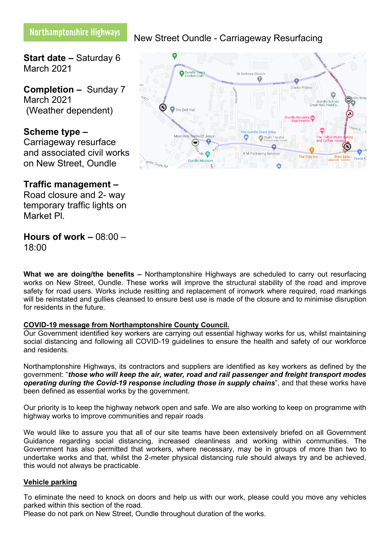# Northamptonshire Highways

**Start date –** Saturday 6 March 2021

**Completion –** Sunday 7 March 2021 (Weather dependent)

## **Scheme type –**

Carriageway resurface and associated civil works on New Street, Oundle

## **Traffic management –**

Road closure and 2- way temporary traffic lights on Market Pl.

## **Hours of work –** 08:00 – 18:00

**What we are doing/the benefits –** Northamptonshire Highways are scheduled to carry out resurfacing works on New Street, Oundle. These works will improve the structural stability of the road and improve safety for road users. Works include resitting and replacement of ironwork where required, road markings will be reinstated and gullies cleansed to ensure best use is made of the closure and to minimise disruption for residents in the future.

## **COVID-19 message from Northamptonshire County Council.**

Our Government identified key workers are carrying out essential highway works for us, whilst maintaining social distancing and following all COVID-19 guidelines to ensure the health and safety of our workforce and residents.

Northamptonshire Highways, its contractors and suppliers are identified as key workers as defined by the government: "*those who will keep the air, water, road and rail passenger and freight transport modes operating during the Covid-19 response including those in supply chains*", and that these works have been defined as essential works by the government.

Our priority is to keep the highway network open and safe. We are also working to keep on programme with highway works to improve communities and repair roads

We would like to assure you that all of our site teams have been extensively briefed on all Government Guidance regarding social distancing, increased cleanliness and working within communities. The Government has also permitted that workers, where necessary, may be in groups of more than two to undertake works and that, whilst the 2-meter physical distancing rule should always try and be achieved, this would not always be practicable.

### **Vehicle parking**

To eliminate the need to knock on doors and help us with our work, please could you move any vehicles parked within this section of the road.

Please do not park on New Street, Oundle throughout duration of the works.



New Street Oundle - Carriageway Resurfacing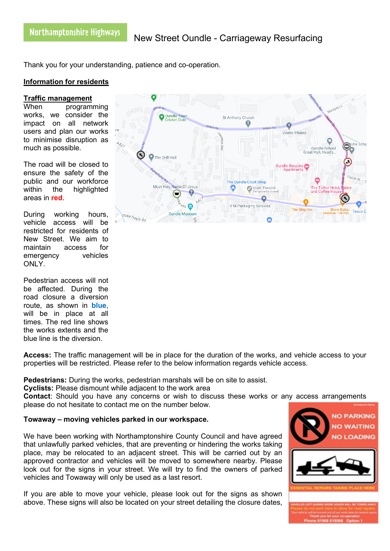Thank you for your understanding, patience and co-operation.

## **Information for residents**

#### **Traffic management**

When programming works, we consider the impact on all network users and plan our works to minimise disruption as much as possible.

The road will be closed to ensure the safety of the public and our workforce within the highlighted areas in **red**.

During working hours, vehicle access will be restricted for residents of New Street. We aim to maintain access for emergency vehicles ONLY.

Pedestrian access will not be affected. During the road closure a diversion route, as shown in **blue**, will be in place at all times. The red line shows the works extents and the blue line is the diversion.

**Access:** The traffic management will be in place for the duration of the works, and vehicle access to your properties will be restricted. Please refer to the below information regards vehicle access.

**Pedestrians:** During the works, pedestrian marshals will be on site to assist.

**Cyclists:** Please dismount while adjacent to the work area

**Contact**: Should you have any concerns or wish to discuss these works or any access arrangements please do not hesitate to contact me on the number below.

### **Towaway – moving vehicles parked in our workspace.**

We have been working with Northamptonshire County Council and have agreed that unlawfully parked vehicles, that are preventing or hindering the works taking place, may be relocated to an adjacent street. This will be carried out by an approved contractor and vehicles will be moved to somewhere nearby. Please look out for the signs in your street. We will try to find the owners of parked vehicles and Towaway will only be used as a last resort.

If you are able to move your vehicle, please look out for the signs as shown above. These signs will also be located on your street detailing the closure dates,